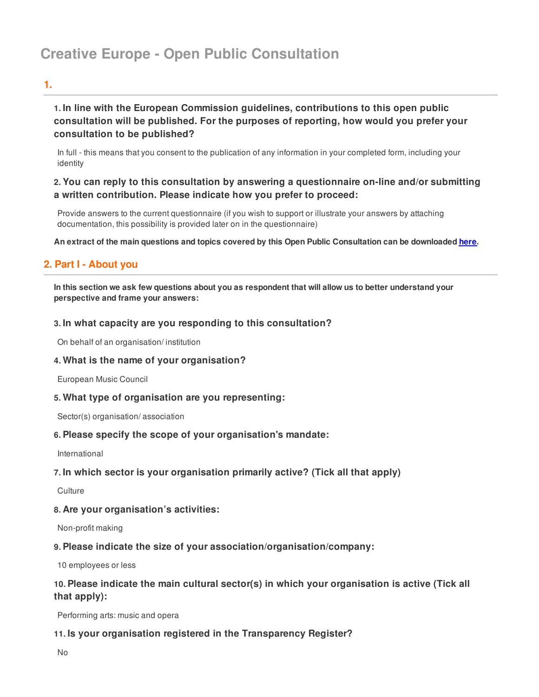# **Creative Europe - Open Public Consultation**

# **1.**

# **1. In line with the European Commission guidelines, contributions to this open public consultation will be published. For the purposes of reporting, how would you prefer your consultation to be published?**

In full - this means that you consent to the publication of any information in your completed form, including your identity

### **2. You can reply to this consultation by answering a questionnaire on-line and/or submitting a written contribution. Please indicate how you prefer to proceed:**

Provide answers to the current questionnaire (if you wish to support or illustrate your answers by attaching documentation, this possibility is provided later on in the questionnaire)

An extract of the main questions and topics covered by this Open Public Consultation can be downloaded [here](http://uk.icfi.com/surveys/OPC_CreativeEurope/OPC_Creative_Europe.pdf).

# **2. Part I - About you**

In this section we ask few questions about you as respondent that will allow us to better understand your **perspective and frame your answers:**

### **3. In what capacity are you responding to this consultation?**

On behalf of an organisation/ institution

### **4. What is the name of your organisation?**

European Music Council

**5. What type of organisation are you representing:**

Sector(s) organisation/ association

### **6. Please specify the scope of your organisation's mandate:**

International

### **7. In which sector is your organisation primarily active? (Tick all that apply)**

**Culture** 

### **8. Are your organisation's activities:**

Non-profit making

### **9. Please indicate the size of your association/organisation/company:**

10 employees or less

# **10. Please indicate the main cultural sector(s) in which your organisation is active (Tick all that apply):**

Performing arts: music and opera

### **11. Is your organisation registered in the Transparency Register?**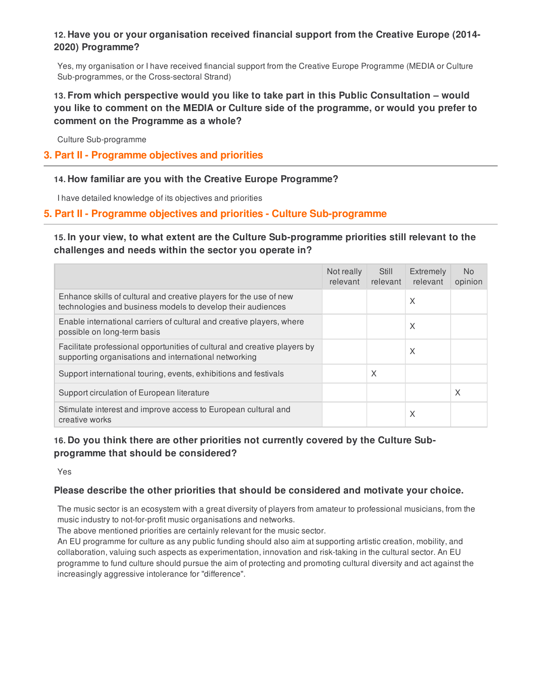# **12. Have you or your organisation received financial support from the Creative Europe (2014- 2020) Programme?**

Yes, my organisation or I have received financial support from the Creative Europe Programme (MEDIA or Culture Sub-programmes, or the Cross-sectoral Strand)

# **13. From which perspective would you like to take part in this Public Consultation – would you like to comment on the MEDIA or Culture side of the programme, or would you prefer to comment on the Programme as a whole?**

Culture Sub-programme

### **3. Part II - Programme objectives and priorities**

### **14. How familiar are you with the Creative Europe Programme?**

I have detailed knowledge of its objectives and priorities

# **5. Part II - Programme objectives and priorities - Culture Sub-programme**

# **15. In your view, to what extent are the Culture Sub-programme priorities still relevant to the challenges and needs within the sector you operate in?**

|                                                                                                                                    | Not really<br>relevant | Still<br>relevant | Extremely<br>relevant | N <sub>o</sub><br>opinion |
|------------------------------------------------------------------------------------------------------------------------------------|------------------------|-------------------|-----------------------|---------------------------|
| Enhance skills of cultural and creative players for the use of new<br>technologies and business models to develop their audiences  |                        |                   | X                     |                           |
| Enable international carriers of cultural and creative players, where<br>possible on long-term basis                               |                        |                   | X                     |                           |
| Facilitate professional opportunities of cultural and creative players by<br>supporting organisations and international networking |                        |                   | X                     |                           |
| Support international touring, events, exhibitions and festivals                                                                   |                        | X                 |                       |                           |
| Support circulation of European literature                                                                                         |                        |                   |                       | X                         |
| Stimulate interest and improve access to European cultural and<br>creative works                                                   |                        |                   | X                     |                           |

# **16. Do you think there are other priorities not currently covered by the Culture Subprogramme that should be considered?**

Yes

### **Please describe the other priorities that should be considered and motivate your choice.**

The music sector is an ecosystem with a great diversity of players from amateur to professional musicians, from the music industry to not-for-profit music organisations and networks.

The above mentioned priorities are certainly relevant for the music sector.

An EU programme for culture as any public funding should also aim at supporting artistic creation, mobility, and collaboration, valuing such aspects as experimentation, innovation and risk-taking in the cultural sector. An EU programme to fund culture should pursue the aim of protecting and promoting cultural diversity and act against the increasingly aggressive intolerance for "difference".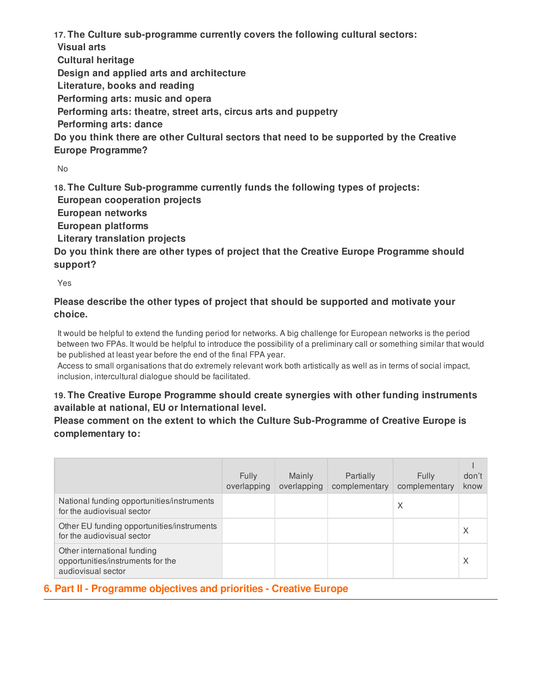**17. The Culture sub-programme currently covers the following cultural sectors:**

**Visual arts**

**Cultural heritage**

**Design and applied arts and architecture**

**Literature, books and reading**

**Performing arts: music and opera**

**Performing arts: theatre, street arts, circus arts and puppetry**

**Performing arts: dance**

**Do you think there are other Cultural sectors that need to be supported by the Creative Europe Programme?**

No

**18. The Culture Sub-programme currently funds the following types of projects:**

**European cooperation projects**

**European networks**

**European platforms**

**Literary translation projects**

**Do you think there are other types of project that the Creative Europe Programme should support?**

Yes

# **Please describe the other types of project that should be supported and motivate your choice.**

It would be helpful to extend the funding period for networks. A big challenge for European networks is the period between two FPAs. It would be helpful to introduce the possibility of a preliminary call or something similar that would be published at least year before the end of the final FPA year.

Access to small organisations that do extremely relevant work both artistically as well as in terms of social impact, inclusion, intercultural dialogue should be facilitated.

# **19. The Creative Europe Programme should create synergies with other funding instruments available at national, EU or International level.**

**Please comment on the extent to which the Culture Sub-Programme of Creative Europe is complementary to:**

|                                                                                        | <b>Fully</b><br>overlapping | Mainly<br>overlapping | Partially<br>complementary | <b>Fully</b><br>complementary | don't<br>know |
|----------------------------------------------------------------------------------------|-----------------------------|-----------------------|----------------------------|-------------------------------|---------------|
| National funding opportunities/instruments<br>for the audiovisual sector               |                             |                       |                            | X                             |               |
| Other EU funding opportunities/instruments<br>for the audiovisual sector               |                             |                       |                            |                               |               |
| Other international funding<br>opportunities/instruments for the<br>audiovisual sector |                             |                       |                            |                               | X             |

# **6. Part II - Programme objectives and priorities - Creative Europe**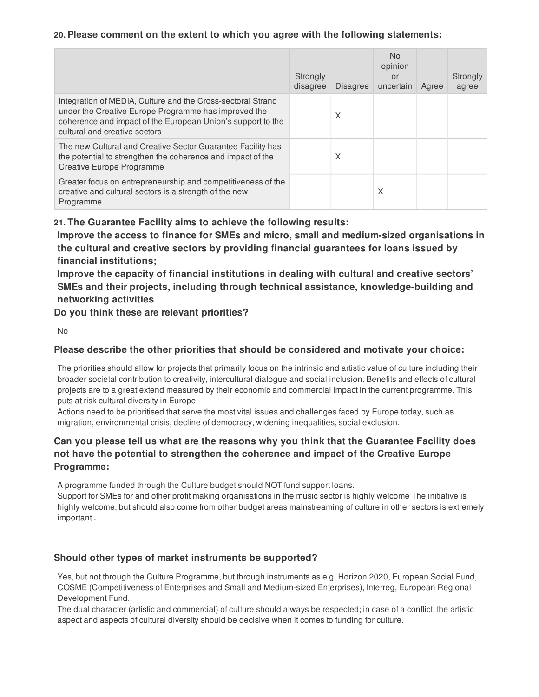### **20. Please comment on the extent to which you agree with the following statements:**

|                                                                                                                                                                                                                     | Strongly<br>disagree | <b>Disagree</b> | No.<br>opinion<br>or<br>uncertain | Agree | Strongly<br>agree |
|---------------------------------------------------------------------------------------------------------------------------------------------------------------------------------------------------------------------|----------------------|-----------------|-----------------------------------|-------|-------------------|
| Integration of MEDIA, Culture and the Cross-sectoral Strand<br>under the Creative Europe Programme has improved the<br>coherence and impact of the European Union's support to the<br>cultural and creative sectors |                      | X               |                                   |       |                   |
| The new Cultural and Creative Sector Guarantee Facility has<br>the potential to strengthen the coherence and impact of the<br><b>Creative Europe Programme</b>                                                      |                      | X               |                                   |       |                   |
| Greater focus on entrepreneurship and competitiveness of the<br>creative and cultural sectors is a strength of the new<br>Programme                                                                                 |                      |                 | Χ                                 |       |                   |

### **21. The Guarantee Facility aims to achieve the following results:**

**Improve the access to finance for SMEs and micro, small and medium-sized organisations in the cultural and creative sectors by providing financial guarantees for loans issued by financial institutions;**

**Improve the capacity of financial institutions in dealing with cultural and creative sectors' SMEs and their projects, including through technical assistance, knowledge-building and networking activities**

**Do you think these are relevant priorities?**

```
N<sub>0</sub>
```
### **Please describe the other priorities that should be considered and motivate your choice:**

The priorities should allow for projects that primarily focus on the intrinsic and artistic value of culture including their broader societal contribution to creativity, intercultural dialogue and social inclusion. Benefits and effects of cultural projects are to a great extend measured by their economic and commercial impact in the current programme. This puts at risk cultural diversity in Europe.

Actions need to be prioritised that serve the most vital issues and challenges faced by Europe today, such as migration, environmental crisis, decline of democracy, widening inequalities, social exclusion.

# **Can you please tell us what are the reasons why you think that the Guarantee Facility does not have the potential to strengthen the coherence and impact of the Creative Europe Programme:**

A programme funded through the Culture budget should NOT fund support loans.

Support for SMEs for and other profit making organisations in the music sector is highly welcome The initiative is highly welcome, but should also come from other budget areas mainstreaming of culture in other sectors is extremely important .

### **Should other types of market instruments be supported?**

Yes, but not through the Culture Programme, but through instruments as e.g. Horizon 2020, European Social Fund, COSME (Competitiveness of Enterprises and Small and Medium-sized Enterprises), Interreg, European Regional Development Fund.

The dual character (artistic and commercial) of culture should always be respected; in case of a conflict, the artistic aspect and aspects of cultural diversity should be decisive when it comes to funding for culture.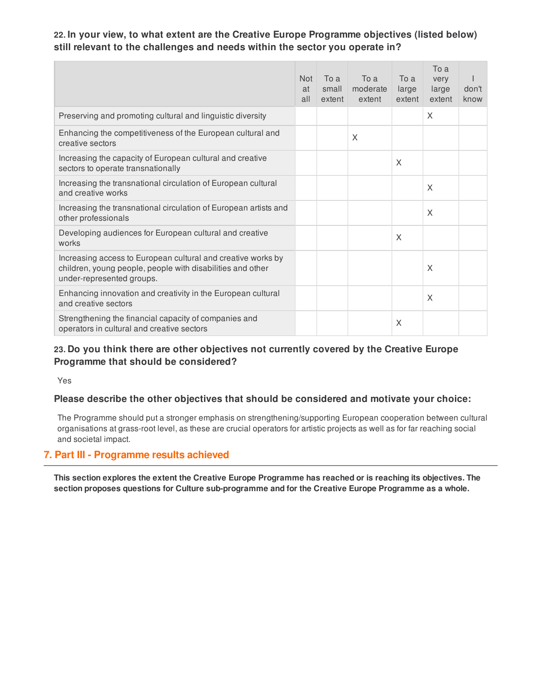# **22. In your view, to what extent are the Creative Europe Programme objectives (listed below) still relevant to the challenges and needs within the sector you operate in?**

|                                                                                                                                                         | <b>Not</b><br>at<br>all | To a<br>small<br>extent | To a<br>moderate<br>extent | To a<br>large<br>extent | To a<br>very<br>large<br>extent | don't<br>know |
|---------------------------------------------------------------------------------------------------------------------------------------------------------|-------------------------|-------------------------|----------------------------|-------------------------|---------------------------------|---------------|
| Preserving and promoting cultural and linguistic diversity                                                                                              |                         |                         |                            |                         | X                               |               |
| Enhancing the competitiveness of the European cultural and<br>creative sectors                                                                          |                         |                         | X                          |                         |                                 |               |
| Increasing the capacity of European cultural and creative<br>sectors to operate transnationally                                                         |                         |                         |                            | X                       |                                 |               |
| Increasing the transnational circulation of European cultural<br>and creative works                                                                     |                         |                         |                            |                         | X                               |               |
| Increasing the transnational circulation of European artists and<br>other professionals                                                                 |                         |                         |                            |                         | X                               |               |
| Developing audiences for European cultural and creative<br>works                                                                                        |                         |                         |                            | $\times$                |                                 |               |
| Increasing access to European cultural and creative works by<br>children, young people, people with disabilities and other<br>under-represented groups. |                         |                         |                            |                         | X                               |               |
| Enhancing innovation and creativity in the European cultural<br>and creative sectors                                                                    |                         |                         |                            |                         | X                               |               |
| Strengthening the financial capacity of companies and<br>operators in cultural and creative sectors                                                     |                         |                         |                            | X                       |                                 |               |

### **23. Do you think there are other objectives not currently covered by the Creative Europe Programme that should be considered?**

Yes

### **Please describe the other objectives that should be considered and motivate your choice:**

The Programme should put a stronger emphasis on strengthening/supporting European cooperation between cultural organisations at grass-root level, as these are crucial operators for artistic projects as well as for far reaching social and societal impact.

#### **7. Part III - Programme results achieved**

This section explores the extent the Creative Europe Programme has reached or is reaching its objectives. The **section proposes questions for Culture sub-programme and for the Creative Europe Programme as a whole.**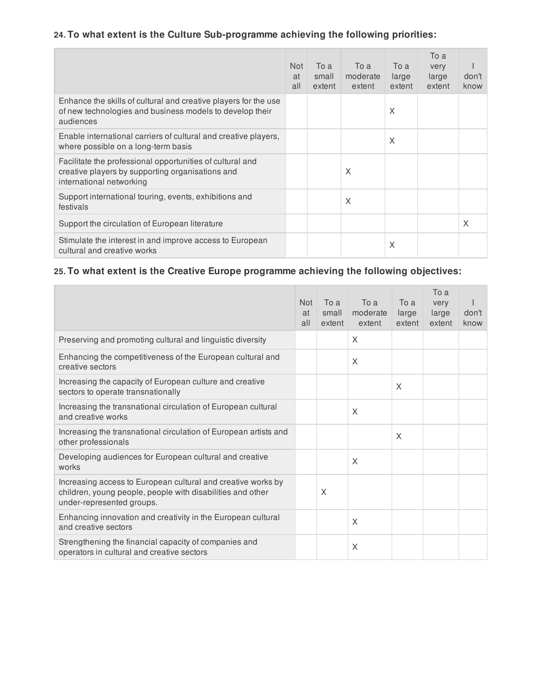# **24. To what extent is the Culture Sub-programme achieving the following priorities:**

|                                                                                                                                           | <b>Not</b><br>at<br>all | To a<br>small<br>extent | To a<br>moderate<br>extent | To a<br>large<br>extent | To a<br>very<br>large<br>extent | don't<br>know |
|-------------------------------------------------------------------------------------------------------------------------------------------|-------------------------|-------------------------|----------------------------|-------------------------|---------------------------------|---------------|
| Enhance the skills of cultural and creative players for the use<br>of new technologies and business models to develop their<br>audiences  |                         |                         |                            | X                       |                                 |               |
| Enable international carriers of cultural and creative players,<br>where possible on a long-term basis                                    |                         |                         |                            | X                       |                                 |               |
| Facilitate the professional opportunities of cultural and<br>creative players by supporting organisations and<br>international networking |                         |                         | X                          |                         |                                 |               |
| Support international touring, events, exhibitions and<br>festivals                                                                       |                         |                         | X                          |                         |                                 |               |
| Support the circulation of European literature                                                                                            |                         |                         |                            |                         |                                 | X             |
| Stimulate the interest in and improve access to European<br>cultural and creative works                                                   |                         |                         |                            | X                       |                                 |               |

# **25. To what extent is the Creative Europe programme achieving the following objectives:**

|                                                                                                                                                         | <b>Not</b><br>at<br>all | To a<br>small<br>extent | To a<br>moderate<br>extent | To a<br>large<br>extent | To a<br>very<br>large<br>extent | don't<br>know |
|---------------------------------------------------------------------------------------------------------------------------------------------------------|-------------------------|-------------------------|----------------------------|-------------------------|---------------------------------|---------------|
| Preserving and promoting cultural and linguistic diversity                                                                                              |                         |                         | X                          |                         |                                 |               |
| Enhancing the competitiveness of the European cultural and<br>creative sectors                                                                          |                         |                         | $\times$                   |                         |                                 |               |
| Increasing the capacity of European culture and creative<br>sectors to operate transnationally                                                          |                         |                         |                            | X                       |                                 |               |
| Increasing the transnational circulation of European cultural<br>and creative works                                                                     |                         |                         | X                          |                         |                                 |               |
| Increasing the transnational circulation of European artists and<br>other professionals                                                                 |                         |                         |                            | X                       |                                 |               |
| Developing audiences for European cultural and creative<br>works                                                                                        |                         |                         | X                          |                         |                                 |               |
| Increasing access to European cultural and creative works by<br>children, young people, people with disabilities and other<br>under-represented groups. |                         | X                       |                            |                         |                                 |               |
| Enhancing innovation and creativity in the European cultural<br>and creative sectors                                                                    |                         |                         | X                          |                         |                                 |               |
| Strengthening the financial capacity of companies and<br>operators in cultural and creative sectors                                                     |                         |                         | X                          |                         |                                 |               |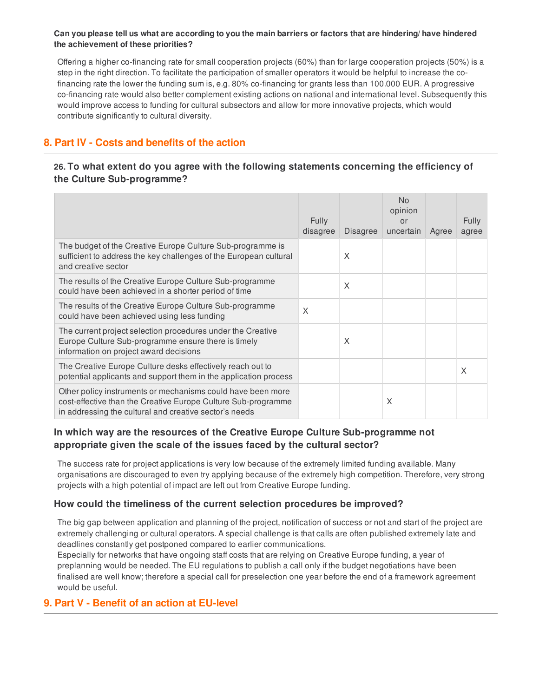#### Can you please tell us what are according to you the main barriers or factors that are hindering/ have hindered **the achievement of these priorities?**

Offering a higher co-financing rate for small cooperation projects (60%) than for large cooperation projects (50%) is a step in the right direction. To facilitate the participation of smaller operators it would be helpful to increase the cofinancing rate the lower the funding sum is, e.g. 80% co-financing for grants less than 100.000 EUR. A progressive co-financing rate would also better complement existing actions on national and international level. Subsequently this would improve access to funding for cultural subsectors and allow for more innovative projects, which would contribute significantly to cultural diversity.

# **8. Part IV - Costs and benefits of the action**

# **26. To what extent do you agree with the following statements concerning the efficiency of the Culture Sub-programme?**

|                                                                                                                                                                                        | <b>Fully</b><br>disagree | <b>Disagree</b> | <b>No</b><br>opinion<br>or<br>uncertain | Agree | <b>Fully</b><br>agree |
|----------------------------------------------------------------------------------------------------------------------------------------------------------------------------------------|--------------------------|-----------------|-----------------------------------------|-------|-----------------------|
| The budget of the Creative Europe Culture Sub-programme is<br>sufficient to address the key challenges of the European cultural<br>and creative sector                                 |                          | X               |                                         |       |                       |
| The results of the Creative Europe Culture Sub-programme<br>could have been achieved in a shorter period of time                                                                       |                          | X               |                                         |       |                       |
| The results of the Creative Europe Culture Sub-programme<br>could have been achieved using less funding                                                                                | X                        |                 |                                         |       |                       |
| The current project selection procedures under the Creative<br>Europe Culture Sub-programme ensure there is timely<br>information on project award decisions                           |                          | X               |                                         |       |                       |
| The Creative Europe Culture desks effectively reach out to<br>potential applicants and support them in the application process                                                         |                          |                 |                                         |       | X                     |
| Other policy instruments or mechanisms could have been more<br>cost-effective than the Creative Europe Culture Sub-programme<br>in addressing the cultural and creative sector's needs |                          |                 | X                                       |       |                       |

### **In which way are the resources of the Creative Europe Culture Sub-programme not appropriate given the scale of the issues faced by the cultural sector?**

The success rate for project applications is very low because of the extremely limited funding available. Many organisations are discouraged to even try applying because of the extremely high competition. Therefore, very strong projects with a high potential of impact are left out from Creative Europe funding.

### **How could the timeliness of the current selection procedures be improved?**

The big gap between application and planning of the project, notification of success or not and start of the project are extremely challenging or cultural operators. A special challenge is that calls are often published extremely late and deadlines constantly get postponed compared to earlier communications.

Especially for networks that have ongoing staff costs that are relying on Creative Europe funding, a year of preplanning would be needed. The EU regulations to publish a call only if the budget negotiations have been finalised are well know; therefore a special call for preselection one year before the end of a framework agreement would be useful.

# **9. Part V - Benefit of an action at EU-level**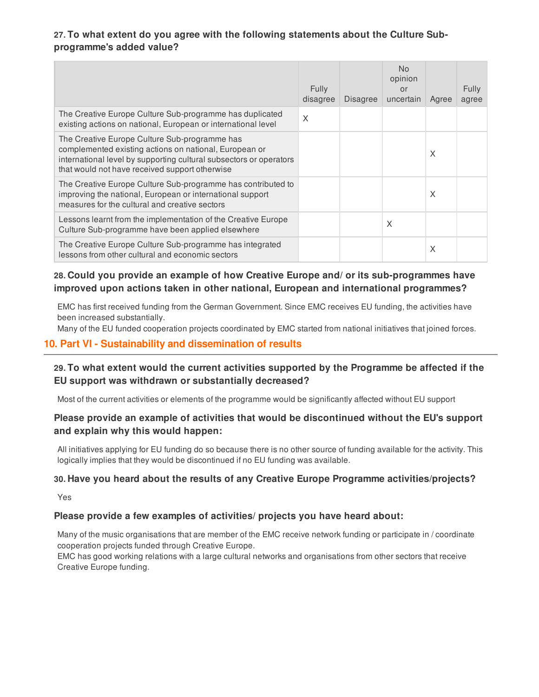# **27. To what extent do you agree with the following statements about the Culture Subprogramme's added value?**

|                                                                                                                                                                                                                                 | <b>Fully</b><br>disagree | <b>Disagree</b> | <b>No</b><br>opinion<br>or<br>uncertain | Agree | Fully<br>agree |
|---------------------------------------------------------------------------------------------------------------------------------------------------------------------------------------------------------------------------------|--------------------------|-----------------|-----------------------------------------|-------|----------------|
| The Creative Europe Culture Sub-programme has duplicated<br>existing actions on national, European or international level                                                                                                       | X                        |                 |                                         |       |                |
| The Creative Europe Culture Sub-programme has<br>complemented existing actions on national, European or<br>international level by supporting cultural subsectors or operators<br>that would not have received support otherwise |                          |                 |                                         | X     |                |
| The Creative Europe Culture Sub-programme has contributed to<br>improving the national, European or international support<br>measures for the cultural and creative sectors                                                     |                          |                 |                                         | X     |                |
| Lessons learnt from the implementation of the Creative Europe<br>Culture Sub-programme have been applied elsewhere                                                                                                              |                          |                 | X                                       |       |                |
| The Creative Europe Culture Sub-programme has integrated<br>lessons from other cultural and economic sectors                                                                                                                    |                          |                 |                                         | X     |                |

# **28. Could you provide an example of how Creative Europe and/ or its sub-programmes have improved upon actions taken in other national, European and international programmes?**

EMC has first received funding from the German Government. Since EMC receives EU funding, the activities have been increased substantially.

Many of the EU funded cooperation projects coordinated by EMC started from national initiatives that joined forces.

### **10. Part VI - Sustainability and dissemination of results**

# **29. To what extent would the current activities supported by the Programme be affected if the EU support was withdrawn or substantially decreased?**

Most of the current activities or elements of the programme would be significantly affected without EU support

### **Please provide an example of activities that would be discontinued without the EU's support and explain why this would happen:**

All initiatives applying for EU funding do so because there is no other source of funding available for the activity. This logically implies that they would be discontinued if no EU funding was available.

### **30. Have you heard about the results of any Creative Europe Programme activities/projects?**

Yes

#### **Please provide a few examples of activities/ projects you have heard about:**

Many of the music organisations that are member of the EMC receive network funding or participate in / coordinate cooperation projects funded through Creative Europe.

EMC has good working relations with a large cultural networks and organisations from other sectors that receive Creative Europe funding.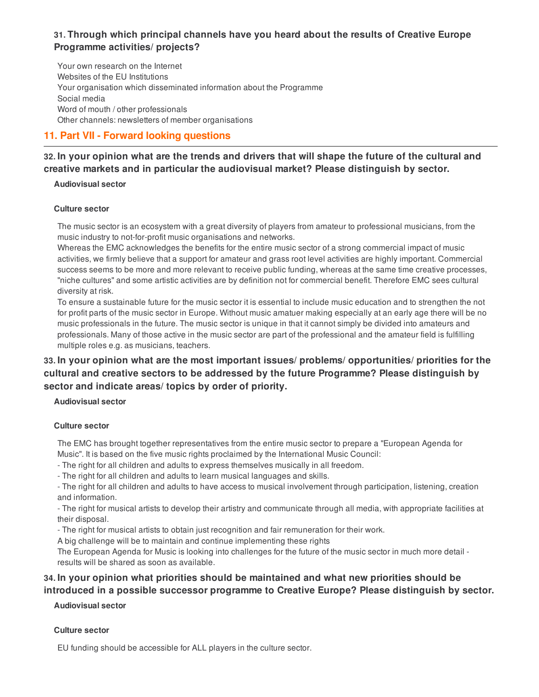# **31. Through which principal channels have you heard about the results of Creative Europe Programme activities/ projects?**

Your own research on the Internet Websites of the EU Institutions Your organisation which disseminated information about the Programme Social media Word of mouth / other professionals Other channels: newsletters of member organisations

# **11. Part VII - Forward looking questions**

## 32. In your opinion what are the trends and drivers that will shape the future of the cultural and **creative markets and in particular the audiovisual market? Please distinguish by sector.**

#### **Audiovisual sector**

#### **Culture sector**

The music sector is an ecosystem with a great diversity of players from amateur to professional musicians, from the music industry to not-for-profit music organisations and networks.

Whereas the EMC acknowledges the benefits for the entire music sector of a strong commercial impact of music activities, we firmly believe that a support for amateur and grass root level activities are highly important. Commercial success seems to be more and more relevant to receive public funding, whereas at the same time creative processes, "niche cultures" and some artistic activities are by definition not for commercial benefit. Therefore EMC sees cultural diversity at risk.

To ensure a sustainable future for the music sector it is essential to include music education and to strengthen the not for profit parts of the music sector in Europe. Without music amatuer making especially at an early age there will be no music professionals in the future. The music sector is unique in that it cannot simply be divided into amateurs and professionals. Many of those active in the music sector are part of the professional and the amateur field is fulfilling multiple roles e.g. as musicians, teachers.

# **33. In your opinion what are the most important issues/ problems/ opportunities/ priorities for the cultural and creative sectors to be addressed by the future Programme? Please distinguish by sector and indicate areas/ topics by order of priority.**

### **Audiovisual sector**

#### **Culture sector**

The EMC has brought together representatives from the entire music sector to prepare a "European Agenda for Music". It is based on the five music rights proclaimed by the International Music Council:

- The right for all children and adults to express themselves musically in all freedom.

- The right for all children and adults to learn musical languages and skills.

- The right for all children and adults to have access to musical involvement through participation, listening, creation and information.

- The right for musical artists to develop their artistry and communicate through all media, with appropriate facilities at their disposal.

- The right for musical artists to obtain just recognition and fair remuneration for their work.

A big challenge will be to maintain and continue implementing these rights

The European Agenda for Music is looking into challenges for the future of the music sector in much more detail results will be shared as soon as available.

# **34. In your opinion what priorities should be maintained and what new priorities should be**

# **introduced in a possible successor programme to Creative Europe? Please distinguish by sector.**

### **Audiovisual sector**

#### **Culture sector**

EU funding should be accessible for ALL players in the culture sector.